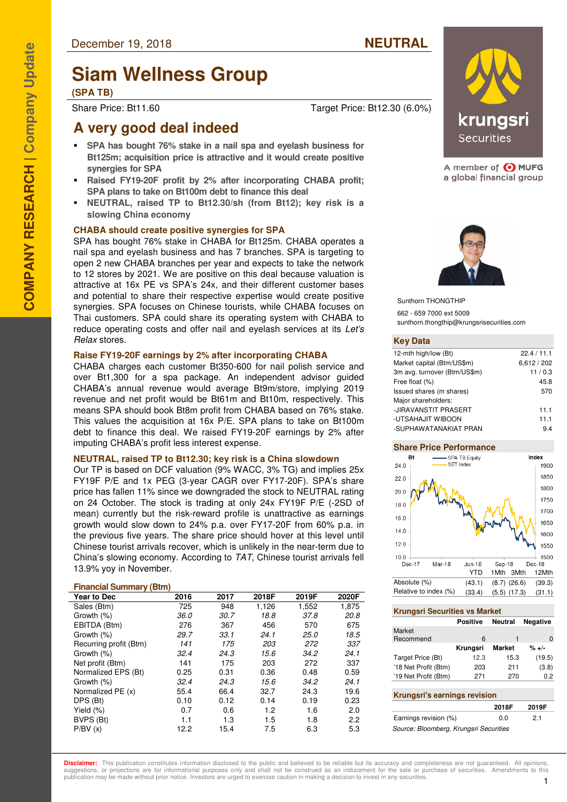# **Siam Wellness Group**

#### **(SPA TB)**

Share Price: Bt11.60 Target Price: Bt12.30 (6.0%)

## **A very good deal indeed**

- **SPA has bought 76% stake in a nail spa and eyelash business for Bt125m; acquisition price is attractive and it would create positive synergies for SPA**
- **Raised FY19-20F profit by 2% after incorporating CHABA profit; SPA plans to take on Bt100m debt to finance this deal**
- **NEUTRAL, raised TP to Bt12.30/sh (from Bt12); key risk is a slowing China economy**

#### **CHABA should create positive synergies for SPA**

SPA has bought 76% stake in CHABA for Bt125m. CHABA operates a nail spa and eyelash business and has 7 branches. SPA is targeting to open 2 new CHABA branches per year and expects to take the network to 12 stores by 2021. We are positive on this deal because valuation is attractive at 16x PE vs SPA's 24x, and their different customer bases and potential to share their respective expertise would create positive synergies. SPA focuses on Chinese tourists, while CHABA focuses on Thai customers. SPA could share its operating system with CHABA to reduce operating costs and offer nail and eyelash services at its Let's Relax stores.

#### **Raise FY19-20F earnings by 2% after incorporating CHABA**

CHABA charges each customer Bt350-600 for nail polish service and over Bt1,300 for a spa package. An independent advisor guided CHABA's annual revenue would average Bt9m/store, implying 2019 revenue and net profit would be Bt61m and Bt10m, respectively. This means SPA should book Bt8m profit from CHABA based on 76% stake. This values the acquisition at 16x P/E. SPA plans to take on Bt100m debt to finance this deal. We raised FY19-20F earnings by 2% after imputing CHABA's profit less interest expense.

#### **NEUTRAL, raised TP to Bt12.30; key risk is a China slowdown**

Our TP is based on DCF valuation (9% WACC, 3% TG) and implies 25x FY19F P/E and 1x PEG (3-year CAGR over FY17-20F). SPA's share price has fallen 11% since we downgraded the stock to NEUTRAL rating on 24 October. The stock is trading at only 24x FY19F P/E (-2SD of mean) currently but the risk-reward profile is unattractive as earnings growth would slow down to 24% p.a. over FY17-20F from 60% p.a. in the previous five years. The share price should hover at this level until Chinese tourist arrivals recover, which is unlikely in the near-term due to China's slowing economy. According to TAT, Chinese tourist arrivals fell 13.9% yoy in November.

#### **Financial Summary (Btm)**

| . .<br>Year to Dec     | 2016 | 2017 | 2018F | 2019F | 2020F |
|------------------------|------|------|-------|-------|-------|
| Sales (Btm)            | 725  | 948  | 1,126 | 1,552 | 1,875 |
| Growth (%)             | 36.0 | 30.7 | 18.8  | 37.8  | 20.8  |
| EBITDA (Btm)           | 276  | 367  | 456   | 570   | 675   |
| Growth (%)             | 29.7 | 33.1 | 24.1  | 25.0  | 18.5  |
| Recurring profit (Btm) | 141  | 175  | 203   | 272   | 337   |
| Growth (%)             | 32.4 | 24.3 | 15.6  | 34.2  | 24.1  |
| Net profit (Btm)       | 141  | 175  | 203   | 272   | 337   |
| Normalized EPS (Bt)    | 0.25 | 0.31 | 0.36  | 0.48  | 0.59  |
| Growth (%)             | 32.4 | 24.3 | 15.6  | 34.2  | 24.1  |
| Normalized PE (x)      | 55.4 | 66.4 | 32.7  | 24.3  | 19.6  |
| DPS (Bt)               | 0.10 | 0.12 | 0.14  | 0.19  | 0.23  |
| Yield $(\%)$           | 0.7  | 0.6  | 1.2   | 1.6   | 2.0   |
| BVPS (Bt)              | 1.1  | 1.3  | 1.5   | 1.8   | 2.2   |
| P/BV(x)                | 12.2 | 15.4 | 7.5   | 6.3   | 5.3   |

krunasri **Securities** 

A member of O MUFG a global financial group



Sunthorn THONGTHIP 662 - 659 7000 ext 5009 sunthorn.thongthip@krungsrisecurities.com

#### **Key Data**

| 12-mth high/low (Bt)         | 22.4 / 11.1 |
|------------------------------|-------------|
| Market capital (Btm/US\$m)   | 6,612/202   |
| 3m avg. turnover (Btm/US\$m) | 11/0.3      |
| Free float (%)               | 45.8        |
| Issued shares (m shares)     | 570         |
| Major shareholders:          |             |
| -JIRAVANSTIT PRASERT         | 11.1        |
| -UTSAHAJIT WIBOON            | 11.1        |
| -SUPHAWATANAKIAT PRAN        | 9.4         |

#### **Share Price Performance**



#### **Krungsri Securities vs Market**

|                                     | Positive | <b>Neutral</b> | <b>Negative</b> |
|-------------------------------------|----------|----------------|-----------------|
| Market                              |          |                |                 |
| Recommend                           | 6        | 1              | O               |
|                                     | Krungsri | <b>Market</b>  | $% + -$         |
| Target Price (Bt)                   | 12.3     | 15.3           | (19.5)          |
| '18 Net Profit (Btm)                | 203      | 211            | (3.8)           |
| '19 Net Profit (Btm)                | 271      | 270            | 0.2             |
|                                     |          |                |                 |
| <b>Krungsri's earnings revision</b> |          |                |                 |
|                                     |          | 2018F          | 2019F           |
| Earnings revision (%)               |          | 0.0            | 21              |

**Disclaimer:** This publication constitutes information disclosed to the public and believed to be reliable but its accuracy and completeness are not quaranteed. All opinions suggestions, or projections are for informational purposes only and shall not be construed as an inducement for the sale or purchase of securities. Amendments to this publication may be made without prior notice. Investors are urged to exercise caution in making a decision to invest in any securities.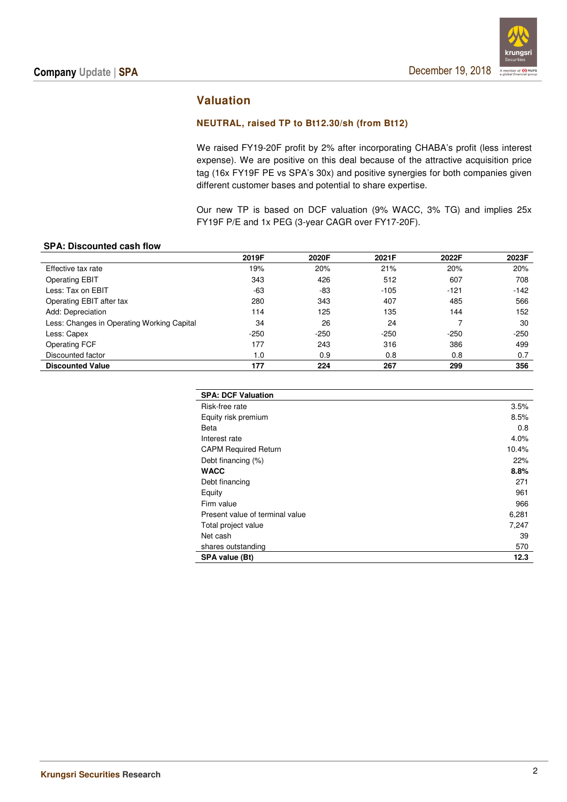

## **Valuation**

#### **NEUTRAL, raised TP to Bt12.30/sh (from Bt12)**

We raised FY19-20F profit by 2% after incorporating CHABA's profit (less interest expense). We are positive on this deal because of the attractive acquisition price tag (16x FY19F PE vs SPA's 30x) and positive synergies for both companies given different customer bases and potential to share expertise.

Our new TP is based on DCF valuation (9% WACC, 3% TG) and implies 25x FY19F P/E and 1x PEG (3-year CAGR over FY17-20F).

#### **SPA: Discounted cash flow**

|                                            | 2019F  | 2020F  | 2021F  | 2022F  | 2023F  |
|--------------------------------------------|--------|--------|--------|--------|--------|
| Effective tax rate                         | 19%    | 20%    | 21%    | 20%    | 20%    |
| <b>Operating EBIT</b>                      | 343    | 426    | 512    | 607    | 708    |
| Less: Tax on EBIT                          | $-63$  | -83    | $-105$ | $-121$ | $-142$ |
| Operating EBIT after tax                   | 280    | 343    | 407    | 485    | 566    |
| Add: Depreciation                          | 114    | 125    | 135    | 144    | 152    |
| Less: Changes in Operating Working Capital | 34     | 26     | 24     |        | 30     |
| Less: Capex                                | $-250$ | $-250$ | $-250$ | $-250$ | $-250$ |
| <b>Operating FCF</b>                       | 177    | 243    | 316    | 386    | 499    |
| Discounted factor                          | 1.0    | 0.9    | 0.8    | 0.8    | 0.7    |
| <b>Discounted Value</b>                    | 177    | 224    | 267    | 299    | 356    |

| <b>SPA: DCF Valuation</b>       |       |
|---------------------------------|-------|
| Risk-free rate                  | 3.5%  |
| Equity risk premium             | 8.5%  |
| Beta                            | 0.8   |
| Interest rate                   | 4.0%  |
| <b>CAPM Required Return</b>     | 10.4% |
| Debt financing (%)              | 22%   |
| <b>WACC</b>                     | 8.8%  |
| Debt financing                  | 271   |
| Equity                          | 961   |
| Firm value                      | 966   |
| Present value of terminal value | 6,281 |
| Total project value             | 7,247 |
| Net cash                        | 39    |
| shares outstanding              | 570   |
| SPA value (Bt)                  | 12.3  |
|                                 |       |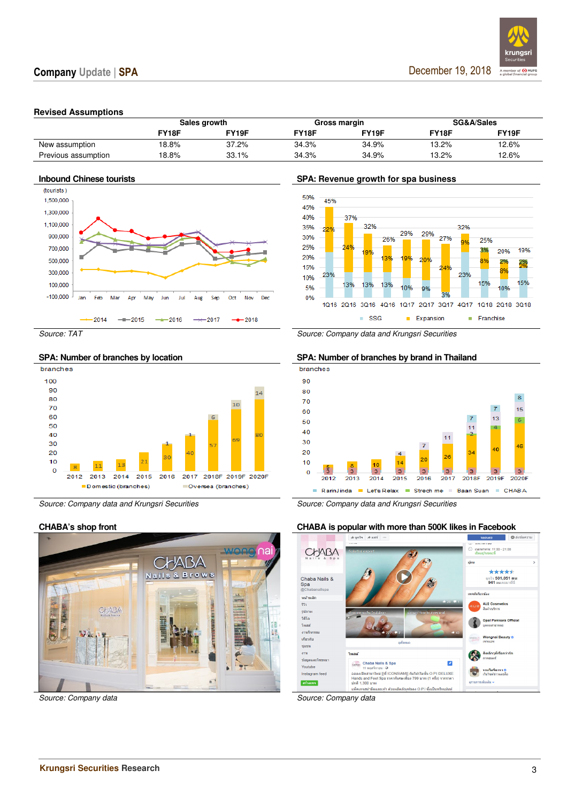

#### **Revised Assumptions**

|                     |       | Sales growth | Gross margin |       |              | SG&A/Sales |
|---------------------|-------|--------------|--------------|-------|--------------|------------|
|                     | FY18F | FY19F        | <b>FY18F</b> | Y19F  | <b>FY18F</b> | FY19F      |
| New assumption      | 18.8% | 37.2%        | 34.3%        | 34.9% | 13.2%        | 12.6%      |
| Previous assumption | 18.8% | 33.1%        | 34.3%        | 34.9% | 13.2%        | 12.6%      |







Source: Company data Source: Company data Source: Company data

#### **Inbound Chinese tourists SPA: Revenue growth for spa business**



Source: TAT Source: Company data and Krungsri Securities





Source: Company data and Krungsri Securities Source: Company data and Krungsri Securities

### **CHABA's shop front CHABA is popular with more than 500K likes in Facebook**

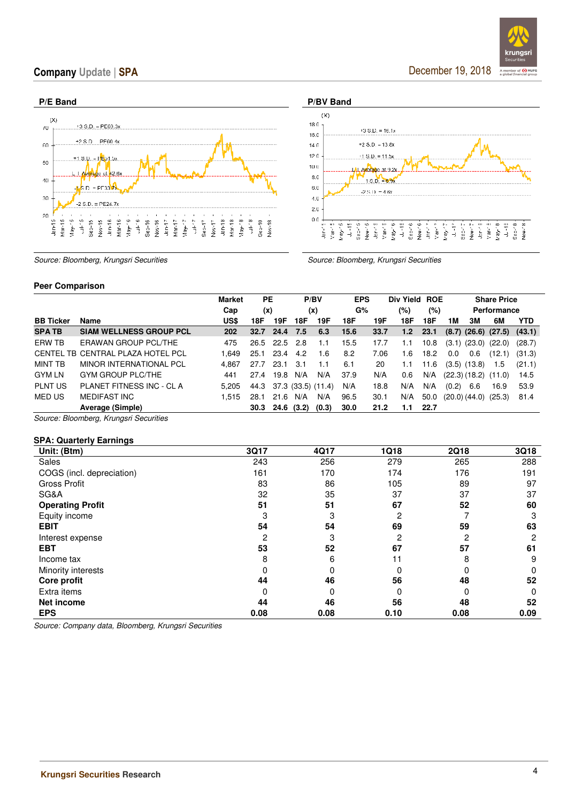### Company Update | SPA

December 19, 2018

krun

A member of **O MUFG**<br>a global financial group



Source: Bloomberg, Krungsri Securities Source: Bloomberg, Krungsri Securities

#### **Peer Comparison**

|                  |                                   | <b>Market</b> | <b>PE</b> |            | P/BV                    |       | <b>EPS</b> |      | Div Yield ROE |      |                            |     | <b>Share Price</b>                 |            |
|------------------|-----------------------------------|---------------|-----------|------------|-------------------------|-------|------------|------|---------------|------|----------------------------|-----|------------------------------------|------------|
|                  |                                   | Cap           | (x)       |            | (x)                     |       | G%         |      | (%)           | (%)  |                            |     | Performance                        |            |
| <b>BB Ticker</b> | Name                              | US\$          | 18F       | 19F        | 18F                     | 19F   | 18F        | 19F  | 18F           | 18F  | 1M                         | зм  | 6M                                 | <b>YTD</b> |
| <b>SPATB</b>     | <b>SIAM WELLNESS GROUP PCL</b>    | 202           | 32.7      | 24.4       | 7.5                     | 6.3   | 15.6       | 33.7 | 1.2           | 23.1 |                            |     | $(8.7)$ $(26.6)$ $(27.5)$ $(43.1)$ |            |
| ERW TB           | ERAWAN GROUP PCL/THE              | 475           | 26.5 22.5 |            | 2.8                     | 1.1   | 15.5       | 17.7 | 1.1           | 10.8 |                            |     | $(3.1)$ $(23.0)$ $(22.0)$          | (28.7)     |
|                  | CENTEL TB CENTRAL PLAZA HOTEL PCL | 1.649         | 25.1      | 23.4       | 4.2                     | 1.6   | 8.2        | 7.06 | 1.6           | 18.2 | 0.0                        | 0.6 | (12.1)                             | (31.3)     |
| MINT TB          | <b>MINOR INTERNATIONAL PCL</b>    | 4.867         | 27.7      | 23.1       | 3.1                     | 1.1   | 6.1        | 20   | 1.1           | 11.6 | $(3.5)$ $(13.8)$           |     | 1.5                                | (21.1)     |
| <b>GYM LN</b>    | <b>GYM GROUP PLC/THE</b>          | 441           | 27.4      | 19.8       | N/A                     | N/A   | 37.9       | N/A  | 0.6           | N/A  |                            |     | $(22.3)$ $(18.2)$ $(11.0)$         | 14.5       |
| <b>PLNT US</b>   | PLANET FITNESS INC - CL A         | 5.205         |           |            | 44.3 37.3 (33.5) (11.4) |       | N/A        | 18.8 | N/A           | N/A  | (0.2)                      | 6.6 | 16.9                               | 53.9       |
| MED US           | <b>MEDIFAST INC</b>               | 1.515         | 28.1      | 21.6       | N/A                     | N/A   | 96.5       | 30.1 | N/A           | 50.0 | $(20.0)$ $(44.0)$ $(25.3)$ |     |                                    | 81.4       |
|                  | Average (Simple)                  |               | 30.3      | 24.6 (3.2) |                         | (0.3) | 30.0       | 21.2 | 1.1           | 22.7 |                            |     |                                    |            |

Source: Bloomberg, Krungsri Securities

#### **SPA: Quarterly Earnings**

| Unit: (Btm)               | 3Q17 | 4Q17 | 1Q18 | <b>2Q18</b> | 3Q18     |
|---------------------------|------|------|------|-------------|----------|
| Sales                     | 243  | 256  | 279  | 265         | 288      |
| COGS (incl. depreciation) | 161  | 170  | 174  | 176         | 191      |
| <b>Gross Profit</b>       | 83   | 86   | 105  | 89          | 97       |
| SG&A                      | 32   | 35   | 37   | 37          | 37       |
| <b>Operating Profit</b>   | 51   | 51   | 67   | 52          | 60       |
| Equity income             | З    | 3    | 2    |             | З        |
| <b>EBIT</b>               | 54   | 54   | 69   | 59          | 63       |
| Interest expense          | 2    | 3    | 2    | 2           | 2        |
| <b>EBT</b>                | 53   | 52   | 67   | 57          | 61       |
| Income tax                | 8    | 6    |      | 8           | 9        |
| Minority interests        | 0    | 0    |      |             | $\Omega$ |
| Core profit               | 44   | 46   | 56   | 48          | 52       |
| Extra items               | 0    | 0    | 0    | 0           | 0        |
| Net income                | 44   | 46   | 56   | 48          | 52       |
| <b>EPS</b>                | 0.08 | 0.08 | 0.10 | 0.08        | 0.09     |

Source: Company data, Bloomberg, Krungsri Securities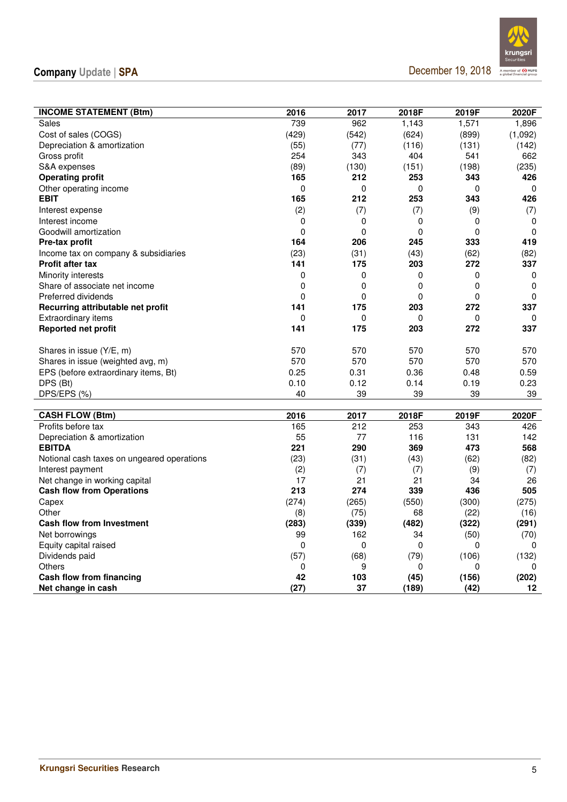## Company Update | SPA

December 19, 2018



| <b>INCOME STATEMENT (Btm)</b>              | 2016        | 2017        | 2018F    | 2019F | 2020F       |
|--------------------------------------------|-------------|-------------|----------|-------|-------------|
| Sales                                      | 739         | 962         | 1,143    | 1,571 | 1,896       |
| Cost of sales (COGS)                       | (429)       | (542)       | (624)    | (899) | (1,092)     |
| Depreciation & amortization                | (55)        | (77)        | (116)    | (131) | (142)       |
| Gross profit                               | 254         | 343         | 404      | 541   | 662         |
| S&A expenses                               | (89)        | (130)       | (151)    | (198) | (235)       |
| <b>Operating profit</b>                    | 165         | 212         | 253      | 343   | 426         |
| Other operating income                     | $\mathbf 0$ | $\mathbf 0$ | 0        | 0     | 0           |
| <b>EBIT</b>                                | 165         | 212         | 253      | 343   | 426         |
| Interest expense                           | (2)         | (7)         | (7)      | (9)   | (7)         |
| Interest income                            | 0           | 0           | 0        | 0     | 0           |
| Goodwill amortization                      | 0           | $\mathbf 0$ | 0        | 0     | 0           |
| Pre-tax profit                             | 164         | 206         | 245      | 333   | 419         |
| Income tax on company & subsidiaries       | (23)        | (31)        | (43)     | (62)  | (82)        |
| <b>Profit after tax</b>                    | 141         | 175         | 203      | 272   | 337         |
| Minority interests                         | 0           | 0           | 0        | 0     | 0           |
| Share of associate net income              | 0           | 0           | 0        | 0     | $\mathbf 0$ |
| Preferred dividends                        | $\mathbf 0$ | 0           | 0        | 0     | $\mathbf 0$ |
| Recurring attributable net profit          | 141         | 175         | 203      | 272   | 337         |
| <b>Extraordinary items</b>                 | 0           | 0           | $\Omega$ | 0     | $\Omega$    |
| Reported net profit                        | 141         | 175         | 203      | 272   | 337         |
|                                            |             |             |          |       |             |
| Shares in issue (Y/E, m)                   | 570         | 570         | 570      | 570   | 570         |
| Shares in issue (weighted avg, m)          | 570         | 570         | 570      | 570   | 570         |
| EPS (before extraordinary items, Bt)       | 0.25        | 0.31        | 0.36     | 0.48  | 0.59        |
| DPS (Bt)                                   | 0.10        | 0.12        | 0.14     | 0.19  | 0.23        |
| DPS/EPS (%)                                | 40          | 39          | 39       | 39    | 39          |
|                                            |             |             |          |       |             |
| <b>CASH FLOW (Btm)</b>                     | 2016        | 2017        | 2018F    | 2019F | 2020F       |
| Profits before tax                         | 165         | 212         | 253      | 343   | 426         |
| Depreciation & amortization                | 55          | 77          | 116      | 131   | 142         |
| <b>EBITDA</b>                              | 221         | 290         | 369      | 473   | 568         |
| Notional cash taxes on ungeared operations | (23)        | (31)        | (43)     | (62)  | (82)        |
| Interest payment                           | (2)         | (7)         | (7)      | (9)   | (7)         |
| Net change in working capital              | 17          | 21          | 21       | 34    | 26          |
| <b>Cash flow from Operations</b>           | 213         | 274         | 339      | 436   | 505         |
| Capex                                      | (274)       | (265)       | (550)    | (300) | (275)       |
| Other                                      | (8)         | (75)        | 68       | (22)  | (16)        |
| <b>Cash flow from Investment</b>           | (283)       | (339)       | (482)    | (322) | (291)       |
| Net borrowings                             | 99          | 162         | 34       | (50)  | (70)        |
| Equity capital raised                      | 0           | 0           | 0        | 0     | 0           |
| Dividends paid                             | (57)        | (68)        | (79)     | (106) | (132)       |
| Others                                     | 0           | 9           | 0        | 0     | 0           |
| Cash flow from financing                   | 42          | 103         | (45)     | (156) | (202)       |
| Net change in cash                         | (27)        | 37          | (189)    | (42)  | 12          |